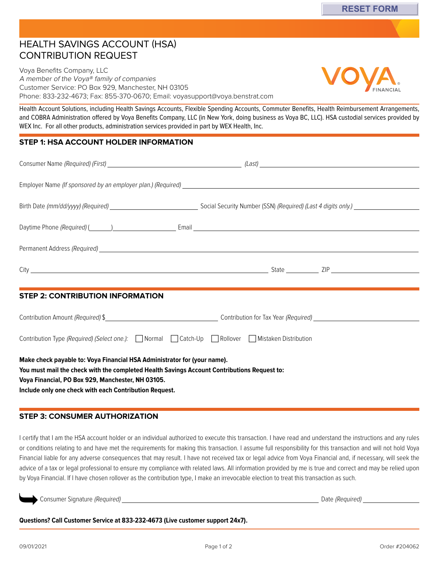## HEALTH SAVINGS ACCOUNT (HSA) CONTRIBUTION REQUEST

Voya Benefits Company, LLC A member of the Voya® family of companies Customer Service: PO Box 929, Manchester, NH 03105 Phone: 833-232-4673; Fax: 855-370-0670; Email: [voyasupport@voya.benstrat.com](mailto:voyasupport@voya.benstrat.com)

Health Account Solutions, including Health Savings Accounts, Flexible Spending Accounts, Commuter Benefits, Health Reimbursement Arrangements, and COBRA Administration offered by Voya Benefits Company, LLC (in New York, doing business as Voya BC, LLC). HSA custodial services provided by WEX Inc. For all other products, administration services provided in part by WEX Health, Inc.

## **STEP 1: HSA ACCOUNT HOLDER INFORMATION**

| <b>STEP 2: CONTRIBUTION INFORMATION</b>                                                                                                                                                                                                                                                |                                   |
|----------------------------------------------------------------------------------------------------------------------------------------------------------------------------------------------------------------------------------------------------------------------------------------|-----------------------------------|
|                                                                                                                                                                                                                                                                                        | Contribution Amount (Required) \$ |
| Contribution Type (Required) (Select one.):   Normal   Catch-Up   Rollover   Mistaken Distribution                                                                                                                                                                                     |                                   |
| Make check payable to: Voya Financial HSA Administrator for (your name).<br>You must mail the check with the completed Health Savings Account Contributions Request to:<br>Voya Financial, PO Box 929, Manchester, NH 03105.<br>Include only one check with each Contribution Request. |                                   |

## **STEP 3: CONSUMER AUTHORIZATION**

I certify that I am the HSA account holder or an individual authorized to execute this transaction. I have read and understand the instructions and any rules or conditions relating to and have met the requirements for making this transaction. I assume full responsibility for this transaction and will not hold Voya Financial liable for any adverse consequences that may result. I have not received tax or legal advice from Voya Financial and, if necessary, will seek the advice of a tax or legal professional to ensure my compliance with related laws. All information provided by me is true and correct and may be relied upon by Voya Financial. If I have chosen rollover as the contribution type, I make an irrevocable election to treat this transaction as such.

Consumer Signature (Required) Date (Required)

**Questions? Call Customer Service at 833-232-4673 (Live customer support 24x7).**